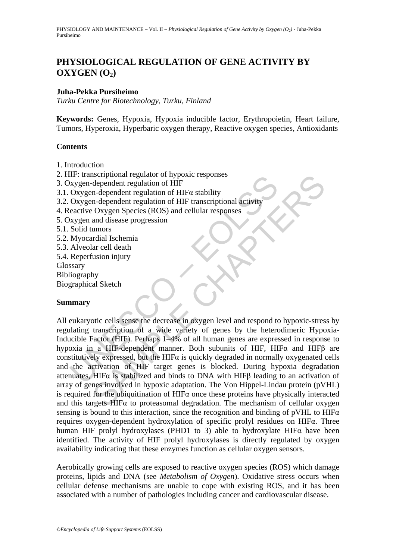# **PHYSIOLOGICAL REGULATION OF GENE ACTIVITY BY**   $OXYGEN (O<sub>2</sub>)$

### **Juha-Pekka Pursiheimo**

*Turku Centre for Biotechnology, Turku, Finland* 

**Keywords:** Genes, Hypoxia, Hypoxia inducible factor, Erythropoietin, Heart failure, Tumors, Hyperoxia, Hyperbaric oxygen therapy, Reactive oxygen species, Antioxidants

#### **Contents**

- 1. Introduction
- 2. HIF: transcriptional regulator of hypoxic responses
- 3. Oxygen-dependent regulation of HIF
- 3.1. Oxygen-dependent regulation of HIFα stability
- 3.2. Oxygen-dependent regulation of HIF transcriptional activity
- 4. Reactive Oxygen Species (ROS) and cellular responses
- 5. Oxygen and disease progression
- 5.1. Solid tumors
- 5.2. Myocardial Ischemia
- 5.3. Alveolar cell death
- 5.4. Reperfusion injury
- Glossary
- Bibliography

Biographical Sketch

#### **Summary**

Inc. unanscriptional regulation of HIFA assetting<br>
and dependent regulation of HIFA stability<br>
Oxygen-dependent regulation of HIFA stability<br>
Oxygen-dependent regulation of HIFA stability<br>
Oxygen-dependent regulation of HI Sepponda regulation of HIF a stability<br>
dependent regulation of HIF a stability<br>
n-dependent regulation of HIF a stability<br>
n-dependent regulation of HIF a stability<br>
n-dependent regulation of HIF transcriptional activity<br> All eukaryotic cells sense the decrease in oxygen level and respond to hypoxic-stress by regulating transcription of a wide variety of genes by the heterodimeric Hypoxia-Inducible Factor (HIF). Perhaps 1–4% of all human genes are expressed in response to hypoxia in a HIF-dependent manner. Both subunits of HIF, HIFα and HIFβ are constitutively expressed, but the HIF $\alpha$  is quickly degraded in normally oxygenated cells and the activation of HIF target genes is blocked. During hypoxia degradation attenuates, HIFα is stabilized and binds to DNA with HIFβ leading to an activation of array of genes involved in hypoxic adaptation. The Von Hippel-Lindau protein (pVHL) is required for the ubiquitination of  $HIF\alpha$  once these proteins have physically interacted and this targets HIFα to proteasomal degradation. The mechanism of cellular oxygen sensing is bound to this interaction, since the recognition and binding of pVHL to  $HIF\alpha$ requires oxygen-dependent hydroxylation of specific prolyl residues on HIFα. Three human HIF prolyl hydroxylases (PHD1 to 3) able to hydroxylate HIF $\alpha$  have been identified. The activity of HIF prolyl hydroxylases is directly regulated by oxygen availability indicating that these enzymes function as cellular oxygen sensors.

Aerobically growing cells are exposed to reactive oxygen species (ROS) which damage proteins, lipids and DNA (see *Metabolism of Oxygen*). Oxidative stress occurs when cellular defense mechanisms are unable to cope with existing ROS, and it has been associated with a number of pathologies including cancer and cardiovascular disease.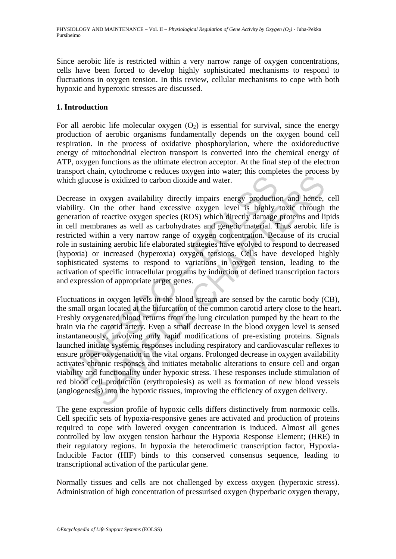Since aerobic life is restricted within a very narrow range of oxygen concentrations, cells have been forced to develop highly sophisticated mechanisms to respond to fluctuations in oxygen tension. In this review, cellular mechanisms to cope with both hypoxic and hyperoxic stresses are discussed.

### **1. Introduction**

For all aerobic life molecular oxygen  $(O_2)$  is essential for survival, since the energy production of aerobic organisms fundamentally depends on the oxygen bound cell respiration. In the process of oxidative phosphorylation, where the oxidoreductive energy of mitochondrial electron transport is converted into the chemical energy of ATP, oxygen functions as the ultimate electron acceptor. At the final step of the electron transport chain, cytochrome c reduces oxygen into water; this completes the process by which glucose is oxidized to carbon dioxide and water.

The glucose is oxidized to carbon dioxide and water.<br>
Trease in oxygen availability directly impairs energy production<br>
ilitity. On the other hand excessive oxygen level is highly<br>
ilitity. On the other way en species (ROS Decrease in oxygen availability directly impairs energy production and hence, cell viability. On the other hand excessive oxygen level is highly toxic through the generation of reactive oxygen species (ROS) which directly damage proteins and lipids in cell membranes as well as carbohydrates and genetic material. Thus aerobic life is restricted within a very narrow range of oxygen concentration. Because of its crucial role in sustaining aerobic life elaborated strategies have evolved to respond to decreased (hypoxia) or increased (hyperoxia) oxygen tensions. Cells have developed highly sophisticated systems to respond to variations in oxygen tension, leading to the activation of specific intracellular programs by induction of defined transcription factors and expression of appropriate target genes.

ose is oxidized to carbon dioxide and water.<br>
The solution of the chapter and process is oxidized to carbon dioxide and water.<br>
The other hand excessive oxygen level is highly toxic through of reactive oxygen species (ROS) Fluctuations in oxygen levels in the blood stream are sensed by the carotic body (CB), the small organ located at the bifurcation of the common carotid artery close to the heart. Freshly oxygenated blood returns from the lung circulation pumped by the heart to the brain via the carotid artery. Even a small decrease in the blood oxygen level is sensed instantaneously, involving only rapid modifications of pre-existing proteins. Signals launched initiate systemic responses including respiratory and cardiovascular reflexes to ensure proper oxygenation in the vital organs. Prolonged decrease in oxygen availability activates chronic responses and initiates metabolic alterations to ensure cell and organ viability and functionality under hypoxic stress. These responses include stimulation of red blood cell production (erythropoiesis) as well as formation of new blood vessels (angiogenesis) into the hypoxic tissues, improving the efficiency of oxygen delivery.

The gene expression profile of hypoxic cells differs distinctively from normoxic cells. Cell specific sets of hypoxia-responsive genes are activated and production of proteins required to cope with lowered oxygen concentration is induced. Almost all genes controlled by low oxygen tension harbour the Hypoxia Response Element; (HRE) in their regulatory regions. In hypoxia the heterodimeric transcription factor, Hypoxia-Inducible Factor (HIF) binds to this conserved consensus sequence, leading to transcriptional activation of the particular gene.

Normally tissues and cells are not challenged by excess oxygen (hyperoxic stress). Administration of high concentration of pressurised oxygen (hyperbaric oxygen therapy,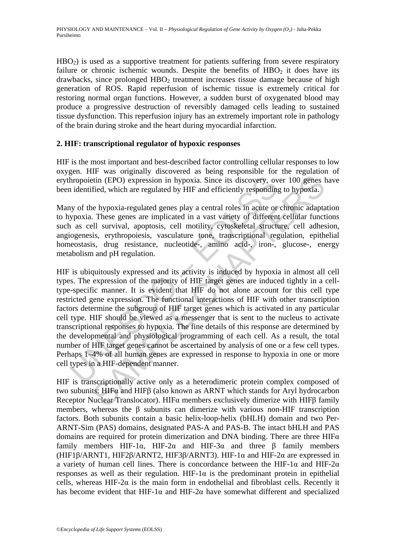HBO<sub>2</sub>) is used as a supportive treatment for patients suffering from severe respiratory failure or chronic ischemic wounds. Despite the benefits of  $HBO<sub>2</sub>$  it does have its  $drawbacks$ , since prolonged  $HBO<sub>2</sub>$  treatment increases tissue damage because of high generation of ROS. Rapid reperfusion of ischemic tissue is extremely critical for restoring normal organ functions. However, a sudden burst of oxygenated blood may produce a progressive destruction of reversibly damaged cells leading to sustained tissue dysfunction. This reperfusion injury has an extremely important role in pathology of the brain during stroke and the heart during myocardial infarction.

### **2. HIF: transcriptional regulator of hypoxic responses**

HIF is the most important and best-described factor controlling cellular responses to low oxygen. HIF was originally discovered as being responsible for the regulation of erythropoietin (EPO) expression in hypoxia. Since its discovery, over 100 genes have been identified, which are regulated by HIF and efficiently responding to hypoxia.

Many of the hypoxia-regulated genes play a central roles in acute or chronic adaptation to hypoxia. These genes are implicated in a vast variety of different cellular functions such as cell survival, apoptosis, cell motility, cytoskeletal structure, cell adhesion, angiogenesis, erythropoiesis, vasculature tone, transcriptional regulation, epithelial homeostasis, drug resistance, nucleotide-, amino acid-, iron-, glucose-, energy metabolism and pH regulation.

Inopoietin (EPO) expression in hypoxia. Since its discovery, over<br>liest indentified, which are regulated by HIF and efficiently responding<br>y of the hypoxia-regulated genes play a central roles in acute or<br>poroxia. These ge it (EPO) expression in hypoxia. Since its discovery, over 100 genes fied, which are regulated by HIF and efficiently responding to hypoxia.<br>
Fied, which are regulated by HIF and efficiently responding to hypoxia.<br>
In the p HIF is ubiquitously expressed and its activity is induced by hypoxia in almost all cell types. The expression of the majority of HIF target genes are induced tightly in a celltype-specific manner. It is evident that HIF do not alone account for this cell type restricted gene expression. The functional interactions of HIF with other transcription factors determine the subgroup of HIF target genes which is activated in any particular cell type. HIF should be viewed as a messenger that is sent to the nucleus to activate transcriptional responses to hypoxia. The fine details of this response are determined by the developmental and physiological programming of each cell. As a result, the total number of HIF target genes cannot be ascertained by analysis of one or a few cell types. Perhaps 1–4% of all human genes are expressed in response to hypoxia in one or more cell types in a HIF-dependent manner.

HIF is transcriptionally active only as a heterodimeric protein complex composed of two subunits: HIFα and HIFβ (also known as ARNT which stands for Aryl hydrocarbon Receptor Nuclear Translocator). HIFα members exclusively dimerize with HIFβ family members, whereas the β subunits can dimerize with various non-HIF transcription factors. Both subunits contain a basic helix-loop-helix (bHLH) domain and two Per-ARNT-Sim (PAS) domains, designated PAS-A and PAS-B. The intact bHLH and PAS domains are required for protein dimerization and DNA binding. There are three HIFα family members HIF-1α, HIF-2α and HIF-3α and three β family members (HIF1 $\beta$ /ARNT1, HIF2 $\beta$ /ARNT2, HIF3 $\beta$ /ARNT3). HIF-1 $\alpha$  and HIF-2 $\alpha$  are expressed in a variety of human cell lines. There is concordance between the HIF-1 $\alpha$  and HIF-2 $\alpha$ responses as well as their regulation. HIF-1 $\alpha$  is the predominant protein in epithelial cells, whereas HIF-2 $\alpha$  is the main form in endothelial and fibroblast cells. Recently it has become evident that HIF-1 $\alpha$  and HIF-2 $\alpha$  have somewhat different and specialized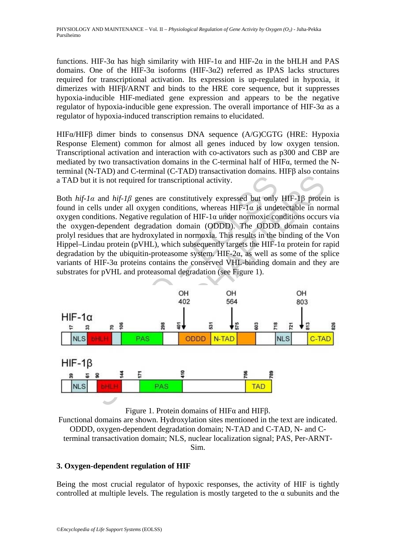functions. HIF-3α has high similarity with HIF-1α and HIF-2α in the bHLH and PAS domains. One of the HIF-3 $\alpha$  isoforms (HIF-3 $\alpha$ 2) referred as IPAS lacks structures required for transcriptional activation. Its expression is up-regulated in hypoxia, it dimerizes with HIFβ/ARNT and binds to the HRE core sequence, but it suppresses hypoxia-inducible HIF-mediated gene expression and appears to be the negative regulator of hypoxia-inducible gene expression. The overall importance of HIF-3α as a regulator of hypoxia-induced transcription remains to elucidated.

HIFα/HIFβ dimer binds to consensus DNA sequence (A/G)CGTG (HRE: Hypoxia Response Element) common for almost all genes induced by low oxygen tension. Transcriptional activation and interaction with co-activators such as p300 and CBP are mediated by two transactivation domains in the C-terminal half of HIFα, termed the Nterminal (N-TAD) and C-terminal (C-TAD) transactivation domains. HIFβ also contains a TAD but it is not required for transcriptional activity.

Both  $hif$ -1*a* and  $hif$ -1*β* genes are constitutively expressed but only HIF-1*β* protein is found in cells under all oxygen conditions, whereas  $HIF-1\alpha$  is undetectable in normal oxygen conditions. Negative regulation of HIF-1 $\alpha$  under normoxic conditions occurs via the oxygen-dependent degradation domain (ODDD). The ODDD domain contains prolyl residues that are hydroxylated in normoxia. This results in the binding of the Von Hippel–Lindau protein (pVHL), which subsequently targets the HIF-1 $\alpha$  protein for rapid degradation by the ubiquitin-proteasome system. HIF-2 $\alpha$ , as well as some of the splice variants of HIF-3α proteins contains the conserved VHL-binding domain and they are substrates for pVHL and proteasomal degradation (see Figure 1).



Figure 1. Protein domains of HIFα and HIFβ.

Functional domains are shown. Hydroxylation sites mentioned in the text are indicated. ODDD, oxygen-dependent degradation domain; N-TAD and C-TAD, N- and Cterminal transactivation domain; NLS, nuclear localization signal; PAS, Per-ARNT-Sim.

## **3. Oxygen-dependent regulation of HIF**

Being the most crucial regulator of hypoxic responses, the activity of HIF is tightly controlled at multiple levels. The regulation is mostly targeted to the  $\alpha$  subunits and the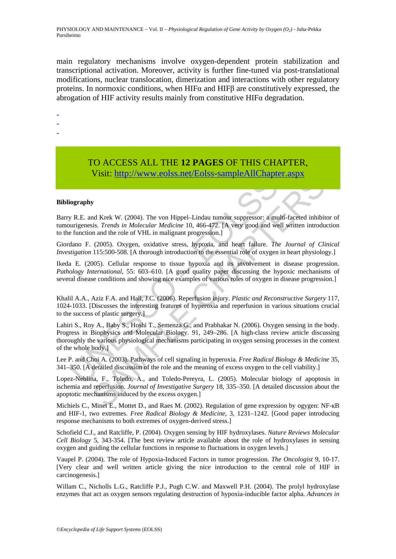PHYSIOLOGY AND MAINTENANCE – Vol. II – *Physiological Regulation of Gene Activity by Oxygen (O2)* - Juha-Pekka Pursiheimo

main regulatory mechanisms involve oxygen-dependent protein stabilization and transcriptional activation. Moreover, activity is further fine-tuned via post-translational modifications, nuclear translocation, dimerization and interactions with other regulatory proteins. In normoxic conditions, when HIFα and HIFβ are constitutively expressed, the abrogation of HIF activity results mainly from constitutive HIFα degradation.

-

-

-

# TO ACCESS ALL THE **12 PAGES** OF THIS CHAPTER, Visit: http://www.eolss.net/Eolss-sampleAllChapter.aspx

#### **Bibliography**

Barry R.E. and Krek W. (2004). The von Hippel–Lindau tumour suppressor: a multi-faceted inhibitor of tumourigenesis. *Trends in Molecular Medicine* 10, 466-472. [A very good and well written introduction to the function and the role of VHL in malignant progression.]

Giordano F. (2005). Oxygen, oxidative stress, hypoxia, and heart failure. *The Journal of Clinical Investigation* 115:500-508. [A thorough introduction to the essential role of oxygen in heart physiology.]

Ikeda E. (2005). Cellular response to tissue hypoxia and its involvement in disease progression. *Pathology International*, 55: 603–610. [A good quality paper discussing the hypoxic mechanisms of several disease conditions and showing nice examples of various roles of oxygen in disease progression.]

Khalil A.A., Aziz F.A. and Hall, J.C. (2006). Reperfusion injury. *Plastic and Reconstructive Surgery* 117, 1024-1033. [Discusses the interesting features of hyperoxia and reperfusion in various situations crucial to the success of plastic surgery.]

**VISIT.** III(P.7/WWW.COISS.IICU EOISS-Sample Artic-rapid<br>
iography<br>
WR.E. and Krek W. (2004). The von Hippel-Lindau tumour suppressor: a mu<br>
integenesis. Trends in Molecular Medicine 10, 466-472. [A very good and we<br>
func **VISIL.** IIIID<sub>21</sub>/WWW.CUISS.IIEV EOISS-SaIII) IENIIV.IIIapier. ASPX<br>
W<br>
M Krek W. (2004). The von Hippel-Lindau tumour suppressor: a multi-faceted inhibit<br>
is. *Trends in Molecular Medicine* 10, 466-472. [A very good and Lahiri S., Roy A., Baby S., Hoshi T., Semenza G., and Prabhakar N. (2006). Oxygen sensing in the body. Progress in Biophysics and Molecular Biology. 91, 249–286. [A high-class review article discussing thoroughly the various physiological mechanisms participating in oxygen sensing processes in the context of the whole body.]

Lee P. and Choi A. (2003). Pathways of cell signaling in hyperoxia. *Free Radical Biology & Medicine* 35, 341–350. [A detailed discussion of the role and the meaning of excess oxygen to the cell viability.]

Lopez-Neblina, F., Toledo, A., and Toledo-Pereyra, L. (2005). Molecular biology of apoptosis in ischemia and reperfusion. *Journal of Investigative Surgery* 18, 335–350. [A detailed discussion about the apoptotic mechanisms induced by the excess oxygen.]

Michiels C., Minet E., Mottet D., and Raes M. (2002). Regulation of gene expression by ogygen: NF-<sub>KB</sub> and HIF-1, two extremes. *Free Radical Biology & Medicine*, 3, 1231–1242. [Good paper introducing response mechanisms to both extremes of oxygen-derived stress.]

Schofield C.J., and Ratcliffe, P. (2004). Oxygen sensing by HIF hydroxylases. *Nature Reviews Molecular Cell Biology* 5, 343-354. [The best review article available about the role of hydroxylases in sensing oxygen and guiding the cellular functions in response to fluctuations in oxygen levels.]

Vaupel P. (2004). The role of Hypoxia-Induced Factors in tumor progression. *The Oncologist* 9, 10-17. [Very clear and well written article giving the nice introduction to the central role of HIF in carcinogenesis.]

Willam C., Nicholls L.G., Ratcliffe P.J., Pugh C.W. and Maxwell P.H. (2004). The prolyl hydroxylase enzymes that act as oxygen sensors regulating destruction of hypoxia-inducible factor alpha. *Advances in*